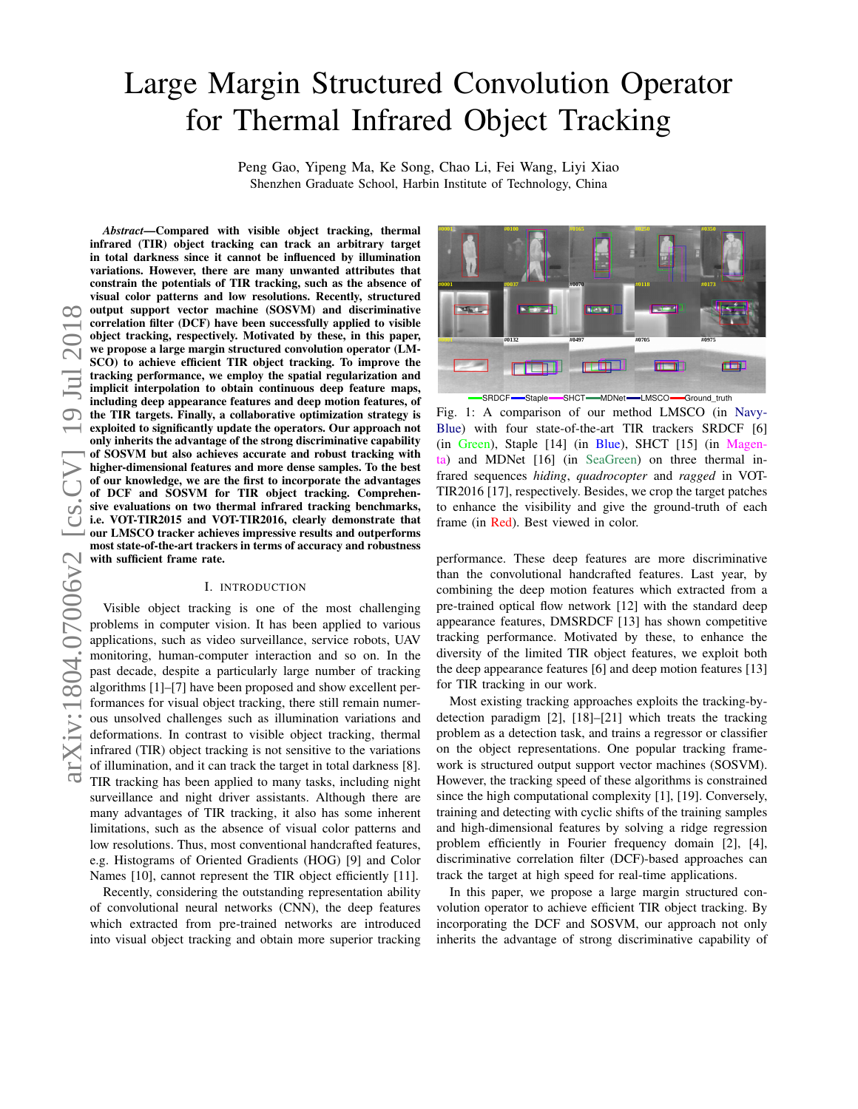# Large Margin Structured Convolution Operator for Thermal Infrared Object Tracking

Peng Gao, Yipeng Ma, Ke Song, Chao Li, Fei Wang, Liyi Xiao Shenzhen Graduate School, Harbin Institute of Technology, China

*Abstract*—Compared with visible object tracking, thermal infrared (TIR) object tracking can track an arbitrary target in total darkness since it cannot be influenced by illumination variations. However, there are many unwanted attributes that constrain the potentials of TIR tracking, such as the absence of visual color patterns and low resolutions. Recently, structured output support vector machine (SOSVM) and discriminative  $\infty$ correlation filter (DCF) have been successfully applied to visible 2 object tracking, respectively. Motivated by these, in this paper, we propose a large margin structured convolution operator (LM-SCO) to achieve efficient TIR object tracking. To improve the tracking performance, we employ the spatial regularization and implicit interpolation to obtain continuous deep feature maps, including deep appearance features and deep motion features, of the TIR targets. Finally, a collaborative optimization strategy is exploited to significantly update the operators. Our approach not only inherits the advantage of the strong discriminative capability 1 of SOSVM but also achieves accurate and robust tracking with higher-dimensional features and more dense samples. To the best of our knowledge, we are the first to incorporate the advantages of DCF and SOSVM for TIR object tracking. Comprehensive evaluations on two thermal infrared tracking benchmarks, i.e. VOT-TIR2015 and VOT-TIR2016, clearly demonstrate that our LMSCO tracker achieves impressive results and outperforms most state-of-the-art trackers in terms of accuracy and robustness with sufficient frame rate.

## I. INTRODUCTION

Visible object tracking is one of the most challenging problems in computer vision. It has been applied to various applications, such as video surveillance, service robots, UAV monitoring, human-computer interaction and so on. In the past decade, despite a particularly large number of tracking algorithms [1]–[7] have been proposed and show excellent performances for visual object tracking, there still remain numerous unsolved challenges such as illumination variations and deformations. In contrast to visible object tracking, thermal infrared (TIR) object tracking is not sensitive to the variations of illumination, and it can track the target in total darkness [8]. TIR tracking has been applied to many tasks, including night surveillance and night driver assistants. Although there are many advantages of TIR tracking, it also has some inherent limitations, such as the absence of visual color patterns and low resolutions. Thus, most conventional handcrafted features, e.g. Histograms of Oriented Gradients (HOG) [9] and Color Names [10], cannot represent the TIR object efficiently [11].

Recently, considering the outstanding representation ability of convolutional neural networks (CNN), the deep features which extracted from pre-trained networks are introduced into visual object tracking and obtain more superior tracking



Fig. 1: A comparison of our method LMSCO (in Navy-Blue) with four state-of-the-art TIR trackers SRDCF [6] (in Green), Staple [14] (in Blue), SHCT [15] (in Magenta) and MDNet [16] (in SeaGreen) on three thermal infrared sequences *hiding*, *quadrocopter* and *ragged* in VOT-TIR2016 [17], respectively. Besides, we crop the target patches to enhance the visibility and give the ground-truth of each frame (in Red). Best viewed in color.

than the convolutional handcrafted features. Last year, by performance. These deep features are more discriminative combining the deep motion features which extracted from a pre-trained optical flow network [12] with the standard deep appearance features, DMSRDCF [13] has shown competitive tracking performance. Motivated by these, to enhance the diversity of the limited TIR object features, we exploit both the deep appearance features [6] and deep motion features [13] for TIR tracking in our work.

> Most existing tracking approaches exploits the tracking-bydetection paradigm [2], [18]–[21] which treats the tracking problem as a detection task, and trains a regressor or classifier on the object representations. One popular tracking framework is structured output support vector machines (SOSVM). However, the tracking speed of these algorithms is constrained since the high computational complexity [1], [19]. Conversely, training and detecting with cyclic shifts of the training samples and high-dimensional features by solving a ridge regression problem efficiently in Fourier frequency domain [2], [4], discriminative correlation filter (DCF)-based approaches can track the target at high speed for real-time applications.

> In this paper, we propose a large margin structured convolution operator to achieve efficient TIR object tracking. By incorporating the DCF and SOSVM, our approach not only inherits the advantage of strong discriminative capability of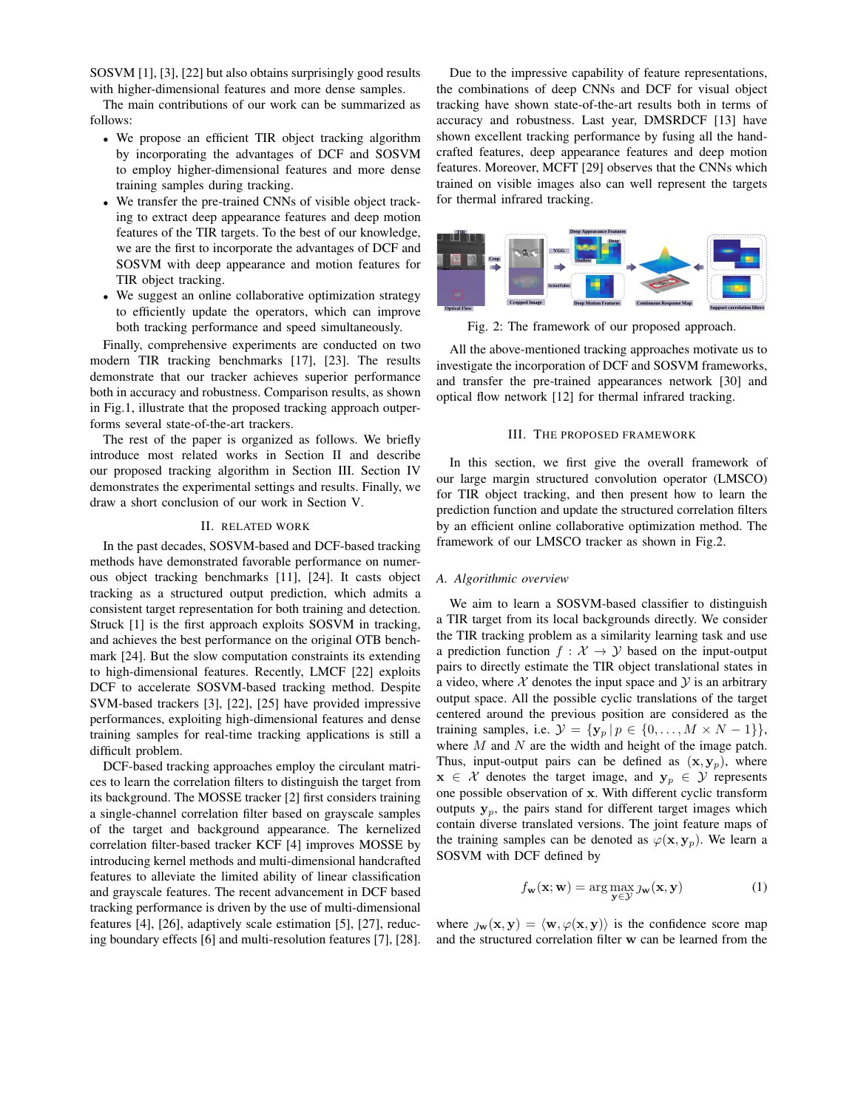SOSVM [1], [3], [22] but also obtains surprisingly good results with higher-dimensional features and more dense samples.

The main contributions of our work can be summarized as follows:

- We propose an efficient TIR object tracking algorithm by incorporating the advantages of DCF and SOSVM to employ higher-dimensional features and more dense training samples during tracking.
- We transfer the pre-trained CNNs of visible object tracking to extract deep appearance features and deep motion features of the TIR targets. To the best of our knowledge, we are the first to incorporate the advantages of DCF and SOSVM with deep appearance and motion features for TIR object tracking.
- We suggest an online collaborative optimization strategy to efficiently update the operators, which can improve both tracking performance and speed simultaneously.

Finally, comprehensive experiments are conducted on two modern TIR tracking benchmarks [17], [23]. The results demonstrate that our tracker achieves superior performance both in accuracy and robustness. Comparison results, as shown in Fig.1, illustrate that the proposed tracking approach outperforms several state-of-the-art trackers.

The rest of the paper is organized as follows. We briefly introduce most related works in Section II and describe our proposed tracking algorithm in Section III. Section IV demonstrates the experimental settings and results. Finally, we draw a short conclusion of our work in Section V.

## II. RELATED WORK

In the past decades, SOSVM-based and DCF-based tracking methods have demonstrated favorable performance on numerous object tracking benchmarks [11], [24]. It casts object tracking as a structured output prediction, which admits a consistent target representation for both training and detection. Struck [1] is the first approach exploits SOSVM in tracking, and achieves the best performance on the original OTB benchmark [24]. But the slow computation constraints its extending to high-dimensional features. Recently, LMCF [22] exploits DCF to accelerate SOSVM-based tracking method. Despite SVM-based trackers [3], [22], [25] have provided impressive performances, exploiting high-dimensional features and dense training samples for real-time tracking applications is still a difficult problem.

DCF-based tracking approaches employ the circulant matrices to learn the correlation filters to distinguish the target from its background. The MOSSE tracker [2] first considers training a single-channel correlation filter based on grayscale samples of the target and background appearance. The kernelized correlation filter-based tracker KCF [4] improves MOSSE by introducing kernel methods and multi-dimensional handcrafted features to alleviate the limited ability of linear classification and grayscale features. The recent advancement in DCF based tracking performance is driven by the use of multi-dimensional features [4], [26], adaptively scale estimation [5], [27], reducing boundary effects [6] and multi-resolution features [7], [28].

Due to the impressive capability of feature representations, the combinations of deep CNNs and DCF for visual object tracking have shown state-of-the-art results both in terms of accuracy and robustness. Last year, DMSRDCF [13] have shown excellent tracking performance by fusing all the handcrafted features, deep appearance features and deep motion features. Moreover, MCFT [29] observes that the CNNs which trained on visible images also can well represent the targets for thermal infrared tracking.



Fig. 2: The framework of our proposed approach.

All the above-mentioned tracking approaches motivate us to investigate the incorporation of DCF and SOSVM frameworks, and transfer the pre-trained appearances network [30] and optical flow network [12] for thermal infrared tracking.

## III. THE PROPOSED FRAMEWORK

In this section, we first give the overall framework of our large margin structured convolution operator (LMSCO) for TIR object tracking, and then present how to learn the prediction function and update the structured correlation filters by an efficient online collaborative optimization method. The framework of our LMSCO tracker as shown in Fig.2.

#### *A. Algorithmic overview*

We aim to learn a SOSVM-based classifier to distinguish a TIR target from its local backgrounds directly. We consider the TIR tracking problem as a similarity learning task and use a prediction function  $f : \mathcal{X} \to \mathcal{Y}$  based on the input-output pairs to directly estimate the TIR object translational states in a video, where  $X$  denotes the input space and  $Y$  is an arbitrary output space. All the possible cyclic translations of the target centered around the previous position are considered as the training samples, i.e.  $\mathcal{Y} = \{ \mathbf{y}_p \mid p \in \{0, \dots, M \times N - 1\} \},$ where  $M$  and  $N$  are the width and height of the image patch. Thus, input-output pairs can be defined as  $(x, y_p)$ , where  $x \in \mathcal{X}$  denotes the target image, and  $y_p \in \mathcal{Y}$  represents one possible observation of x. With different cyclic transform outputs  $y_p$ , the pairs stand for different target images which contain diverse translated versions. The joint feature maps of the training samples can be denoted as  $\varphi(\mathbf{x}, \mathbf{y}_p)$ . We learn a SOSVM with DCF defined by

$$
f_{\mathbf{w}}(\mathbf{x}; \mathbf{w}) = \arg \max_{\mathbf{y} \in \mathcal{Y}} f_{\mathbf{w}}(\mathbf{x}, \mathbf{y})
$$
(1)

where  $y_w(x, y) = \langle w, \varphi(x, y) \rangle$  is the confidence score map and the structured correlation filter w can be learned from the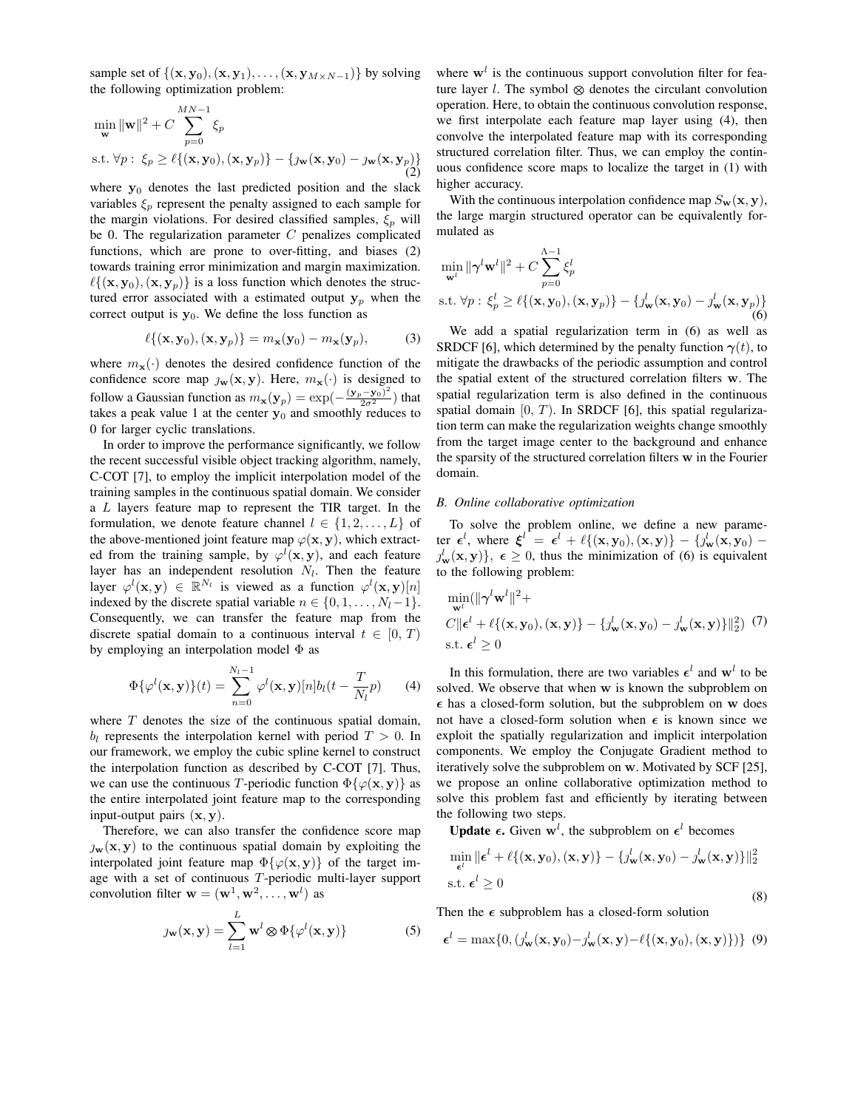sample set of  $\{(\mathbf{x}, \mathbf{y}_0), (\mathbf{x}, \mathbf{y}_1), \dots, (\mathbf{x}, \mathbf{y}_{M \times N-1})\}$  by solving the following optimization problem:

$$
\min_{\mathbf{w}} \|\mathbf{w}\|^2 + C \sum_{p=0}^{MN-1} \xi_p
$$
  
s.t.  $\forall p : \xi_p \ge \ell \{(\mathbf{x}, \mathbf{y}_0), (\mathbf{x}, \mathbf{y}_p)\} - \{j_\mathbf{w}(\mathbf{x}, \mathbf{y}_0) - j_\mathbf{w}(\mathbf{x}, \mathbf{y}_p)\}$  (2)

where  $y_0$  denotes the last predicted position and the slack variables  $\xi_p$  represent the penalty assigned to each sample for the margin violations. For desired classified samples,  $\xi_p$  will be 0. The regularization parameter  $C$  penalizes complicated functions, which are prone to over-fitting, and biases (2) towards training error minimization and margin maximization.  $\ell\{(\mathbf{x}, \mathbf{y}_0),(\mathbf{x}, \mathbf{y}_p)\}\$ is a loss function which denotes the structured error associated with a estimated output  $y_p$  when the correct output is  $y_0$ . We define the loss function as

$$
\ell\{(\mathbf{x}, \mathbf{y}_0), (\mathbf{x}, \mathbf{y}_p)\} = m_{\mathbf{x}}(\mathbf{y}_0) - m_{\mathbf{x}}(\mathbf{y}_p),
$$
 (3)

where  $m_{\mathbf{x}}(\cdot)$  denotes the desired confidence function of the confidence score map  $j_{\mathbf{w}}(\mathbf{x}, \mathbf{y})$ . Here,  $m_{\mathbf{x}}(\cdot)$  is designed to follow a Gaussian function as  $m_x(\mathbf{y}_p) = \exp(-\frac{(\mathbf{y}_p - \mathbf{y}_0)^2}{2\sigma^2})$  that takes a peak value 1 at the center  $y_0$  and smoothly reduces to 0 for larger cyclic translations.

In order to improve the performance significantly, we follow the recent successful visible object tracking algorithm, namely, C-COT [7], to employ the implicit interpolation model of the training samples in the continuous spatial domain. We consider a L layers feature map to represent the TIR target. In the formulation, we denote feature channel  $l \in \{1, 2, \ldots, L\}$  of the above-mentioned joint feature map  $\varphi(\mathbf{x}, \mathbf{y})$ , which extracted from the training sample, by  $\varphi^l(x, y)$ , and each feature layer has an independent resolution  $N_l$ . Then the feature layer  $\varphi^l(\mathbf{x}, \mathbf{y}) \in \mathbb{R}^{N_l}$  is viewed as a function  $\varphi^l(\mathbf{x}, \mathbf{y})[n]$ indexed by the discrete spatial variable  $n \in \{0, 1, \ldots, N_l-1\}.$ Consequently, we can transfer the feature map from the discrete spatial domain to a continuous interval  $t \in [0, T)$ by employing an interpolation model  $\Phi$  as

$$
\Phi\{\varphi^l(\mathbf{x}, \mathbf{y})\}(t) = \sum_{n=0}^{N_l - 1} \varphi^l(\mathbf{x}, \mathbf{y})[n]b_l(t - \frac{T}{N_l}p) \tag{4}
$$

where  $T$  denotes the size of the continuous spatial domain,  $b_l$  represents the interpolation kernel with period  $T > 0$ . In our framework, we employ the cubic spline kernel to construct the interpolation function as described by C-COT [7]. Thus, we can use the continuous T-periodic function  $\Phi{\varphi({\bf x}, {\bf y})}$  as the entire interpolated joint feature map to the corresponding input-output pairs  $(x, y)$ .

Therefore, we can also transfer the confidence score map  $y_w(x, y)$  to the continuous spatial domain by exploiting the interpolated joint feature map  $\Phi\{\varphi(\mathbf{x}, \mathbf{y})\}$  of the target image with a set of continuous T-periodic multi-layer support convolution filter  $\mathbf{w} = (\mathbf{w}^1, \mathbf{w}^2, \dots, \mathbf{w}^l)$  as

$$
\jmath_{\mathbf{w}}(\mathbf{x}, \mathbf{y}) = \sum_{l=1}^{L} \mathbf{w}^{l} \otimes \Phi \{ \varphi^{l}(\mathbf{x}, \mathbf{y}) \}
$$
(5)

where  $w<sup>l</sup>$  is the continuous support convolution filter for feature layer *l*. The symbol  $\otimes$  denotes the circulant convolution operation. Here, to obtain the continuous convolution response, we first interpolate each feature map layer using (4), then convolve the interpolated feature map with its corresponding structured correlation filter. Thus, we can employ the continuous confidence score maps to localize the target in (1) with higher accuracy.

With the continuous interpolation confidence map  $S_w(\mathbf{x}, \mathbf{y})$ , the large margin structured operator can be equivalently formulated as

$$
\min_{\mathbf{w}^l} \|\boldsymbol{\gamma}^l \mathbf{w}^l\|^2 + C \sum_{p=0}^{\Lambda - 1} \xi_p^l
$$
\ns.t.  $\forall p : \xi_p^l \ge \ell \{(\mathbf{x}, \mathbf{y}_0), (\mathbf{x}, \mathbf{y}_p)\} - \{j_{\mathbf{w}}^l(\mathbf{x}, \mathbf{y}_0) - j_{\mathbf{w}}^l(\mathbf{x}, \mathbf{y}_p)\}$ \n(6)

We add a spatial regularization term in (6) as well as SRDCF [6], which determined by the penalty function  $\gamma(t)$ , to mitigate the drawbacks of the periodic assumption and control the spatial extent of the structured correlation filters w. The spatial regularization term is also defined in the continuous spatial domain  $[0, T)$ . In SRDCF  $[6]$ , this spatial regularization term can make the regularization weights change smoothly from the target image center to the background and enhance the sparsity of the structured correlation filters w in the Fourier domain.

#### *B. Online collaborative optimization*

To solve the problem online, we define a new parameter  $\epsilon^l$ , where  $\xi^{l} = \epsilon^l + \ell \{ (\mathbf{x}, \mathbf{y}_0), (\mathbf{x}, \mathbf{y}) \} - \{ j^l_{\mathbf{w}}(\mathbf{x}, \mathbf{y}_0) \{y_w^l(\mathbf{x}, \mathbf{y})\}, \epsilon \ge 0$ , thus the minimization of (6) is equivalent to the following problem:

$$
\min_{\mathbf{w}^l} (\|\boldsymbol{\gamma}^l \mathbf{w}^l\|^2 + C\|\boldsymbol{\epsilon}^l + \ell \{(\mathbf{x}, \mathbf{y}_0), (\mathbf{x}, \mathbf{y})\} - \{j^l_{\mathbf{w}}(\mathbf{x}, \mathbf{y}_0) - j^l_{\mathbf{w}}(\mathbf{x}, \mathbf{y})\}\|_2^2) \tag{7}
$$
  
s.t.  $\boldsymbol{\epsilon}^l \ge 0$ 

In this formulation, there are two variables  $\epsilon^l$  and  $\mathbf{w}^l$  to be solved. We observe that when w is known the subproblem on  $\epsilon$  has a closed-form solution, but the subproblem on w does not have a closed-form solution when  $\epsilon$  is known since we exploit the spatially regularization and implicit interpolation components. We employ the Conjugate Gradient method to iteratively solve the subproblem on w. Motivated by SCF [25], we propose an online collaborative optimization method to solve this problem fast and efficiently by iterating between the following two steps.

**Update**  $\epsilon$ . Given  $w^l$ , the subproblem on  $\epsilon^l$  becomes

$$
\min_{\epsilon^l} \|\epsilon^l + \ell\{(\mathbf{x}, \mathbf{y}_0), (\mathbf{x}, \mathbf{y})\} - \{j_{\mathbf{w}}^l(\mathbf{x}, \mathbf{y}_0) - j_{\mathbf{w}}^l(\mathbf{x}, \mathbf{y})\}\|_2^2
$$
  
s.t.  $\epsilon^l \ge 0$  (8)

Then the  $\epsilon$  subproblem has a closed-form solution

$$
\boldsymbol{\epsilon}^{l} = \max\{0, (j_{\mathbf{w}}^{l}(\mathbf{x}, \mathbf{y}_0) - j_{\mathbf{w}}^{l}(\mathbf{x}, \mathbf{y}) - \ell\{(\mathbf{x}, \mathbf{y}_0), (\mathbf{x}, \mathbf{y})\})\} (9)
$$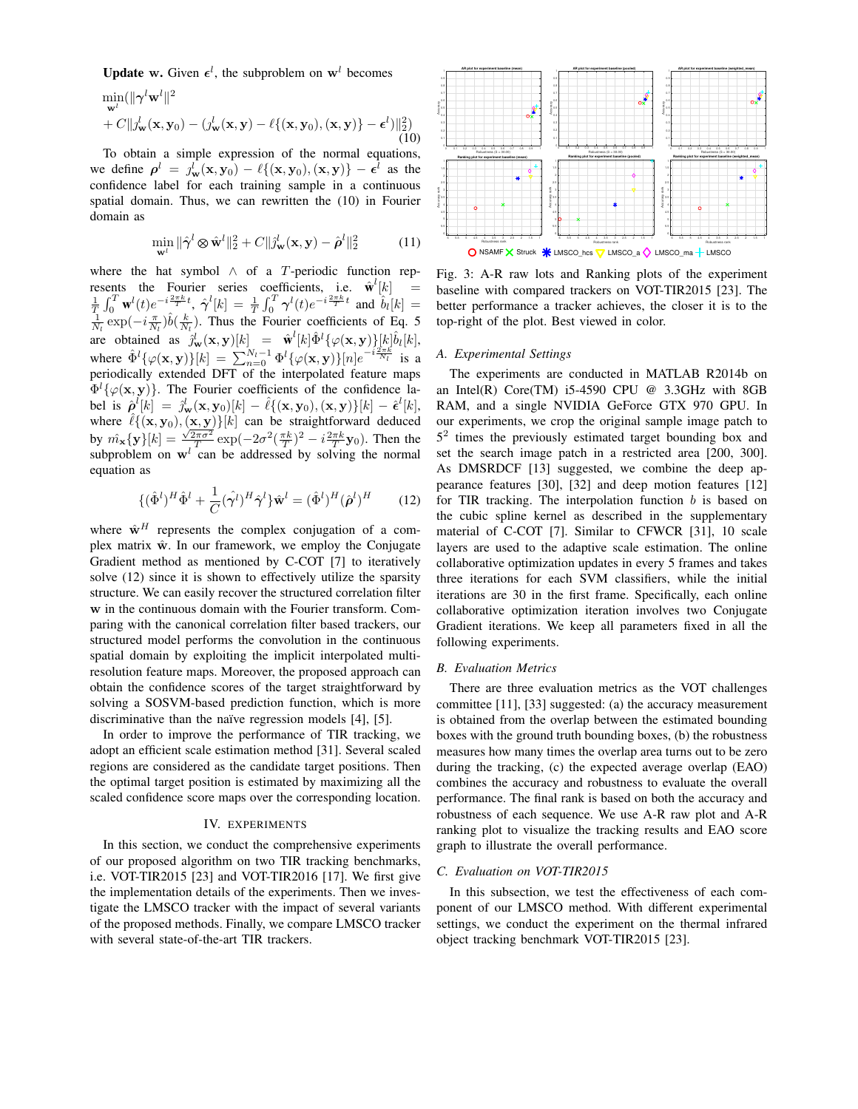**Update w.** Given  $\epsilon^l$ , the subproblem on w<sup>l</sup> becomes

$$
\min_{\mathbf{w}^l} (\|\boldsymbol{\gamma}^l \mathbf{w}^l\|^2 + C\|\boldsymbol{y}_{\mathbf{w}}^l(\mathbf{x}, \mathbf{y}_0) - (\boldsymbol{y}_{\mathbf{w}}^l(\mathbf{x}, \mathbf{y}) - \ell \{(\mathbf{x}, \mathbf{y}_0), (\mathbf{x}, \mathbf{y})\} - \boldsymbol{\epsilon}^l)\|_2^2) \tag{10}
$$

To obtain a simple expression of the normal equations, we define  $\rho^l = \jmath_{\mathbf{w}}^l(\mathbf{x}, \mathbf{y}_0) - \ell\{(\mathbf{x}, \mathbf{y}_0), (\mathbf{x}, \mathbf{y})\} - \epsilon^l$  as the confidence label for each training sample in a continuous spatial domain. Thus, we can rewritten the (10) in Fourier domain as

$$
\min_{\mathbf{w}^l} \|\hat{\boldsymbol{\gamma}}^l \otimes \hat{\mathbf{w}}^l\|_2^2 + C\|\hat{\jmath}_{\mathbf{w}}^l(\mathbf{x}, \mathbf{y}) - \hat{\boldsymbol{\rho}}^l\|_2^2 \tag{11}
$$

where the hat symbol  $\land$  of a T-periodic function represents the Fourier series coefficients, i.e.  $\hat{\mathbf{w}}^l[k] = \frac{1}{T} \int_0^T \mathbf{w}^l(t) e^{-i\frac{2\pi k}{T}t}$ ,  $\hat{\gamma}^l[k] = \frac{1}{T} \int_0^T \gamma^l(t) e^{-i\frac{2\pi k}{T}t}$  and  $\hat{b}_l[k] = \frac{1}{N_l} \exp(-i\frac{\pi}{N_l}) \hat{b}(\frac{k}{N_l})$ . Thus the Fourier coeffic are obtained as  $\hat{\jmath}_{\mathbf{w}}^{l}(\mathbf{x}, \mathbf{y})[k] = \hat{\mathbf{w}}^{l}[k] \hat{\Phi}^{l} \{\varphi(\mathbf{x}, \mathbf{y})\} [k] \hat{b}_{l}[k],$ where  $\hat{\Phi}^{l} {\{\varphi(\mathbf{x}, \mathbf{y})\}}[k] = \sum_{n=0}^{N_{l}-1} \Phi^{l} {\{\varphi(\mathbf{x}, \mathbf{y})\}}[n] e^{-i \frac{2\pi k}{N_{l}}}$  is a periodically extended DFT of the interpolated feature maps  $\Phi^l{\varphi(\mathbf{x}, \mathbf{y})}$ . The Fourier coefficients of the confidence label is  $\hat{\rho}^l[k] = \hat{\jmath}^l_{\mathbf{w}}(\mathbf{x}, \mathbf{y}_0)[k] - \hat{\ell}\{(\mathbf{x}, \mathbf{y}_0), (\mathbf{x}, \mathbf{y})\}[k] - \hat{\epsilon}^l[k],$ where  $\ell\{(\mathbf{x}, \mathbf{y}_0),(\mathbf{x}, \mathbf{y})\}[k]$  can be straightforward deduced by  $\hat{m}_x\{y\}[k] = \frac{\sqrt{2\pi\sigma^2}}{T} \exp(-2\sigma^2(\frac{\pi k}{T})^2 - i\frac{2\pi k}{T}y_0)$ . Then the subproblem on  $w<sup>l</sup>$  can be addressed by solving the normal equation as

$$
\{(\hat{\Phi}^l)^H\hat{\Phi}^l + \frac{1}{C}(\hat{\boldsymbol{\gamma}}^l)^H\hat{\boldsymbol{\gamma}}^l\}\hat{\mathbf{w}}^l = (\hat{\Phi}^l)^H(\hat{\boldsymbol{\rho}}^l)^H
$$
 (12)

where  $\hat{\mathbf{w}}^H$  represents the complex conjugation of a complex matrix  $\hat{w}$ . In our framework, we employ the Conjugate Gradient method as mentioned by C-COT [7] to iteratively solve (12) since it is shown to effectively utilize the sparsity structure. We can easily recover the structured correlation filter w in the continuous domain with the Fourier transform. Comparing with the canonical correlation filter based trackers, our structured model performs the convolution in the continuous spatial domain by exploiting the implicit interpolated multiresolution feature maps. Moreover, the proposed approach can obtain the confidence scores of the target straightforward by solving a SOSVM-based prediction function, which is more discriminative than the naïve regression models  $[4]$ ,  $[5]$ .

In order to improve the performance of TIR tracking, we adopt an efficient scale estimation method [31]. Several scaled regions are considered as the candidate target positions. Then the optimal target position is estimated by maximizing all the scaled confidence score maps over the corresponding location.

# IV. EXPERIMENTS

In this section, we conduct the comprehensive experiments of our proposed algorithm on two TIR tracking benchmarks, i.e. VOT-TIR2015 [23] and VOT-TIR2016 [17]. We first give the implementation details of the experiments. Then we investigate the LMSCO tracker with the impact of several variants of the proposed methods. Finally, we compare LMSCO tracker with several state-of-the-art TIR trackers.



Fig. 3: A-R raw lots and Ranking plots of the experiment baseline with compared trackers on VOT-TIR2015 [23]. The better performance a tracker achieves, the closer it is to the top-right of the plot. Best viewed in color.

#### *A. Experimental Settings*

The experiments are conducted in MATLAB R2014b on an Intel(R) Core(TM) i5-4590 CPU  $@$  3.3GHz with 8GB RAM, and a single NVIDIA GeForce GTX 970 GPU. In our experiments, we crop the original sample image patch to 5 2 times the previously estimated target bounding box and set the search image patch in a restricted area [200, 300]. As DMSRDCF [13] suggested, we combine the deep appearance features [30], [32] and deep motion features [12] for TIR tracking. The interpolation function  $b$  is based on the cubic spline kernel as described in the supplementary material of C-COT [7]. Similar to CFWCR [31], 10 scale layers are used to the adaptive scale estimation. The online collaborative optimization updates in every 5 frames and takes three iterations for each SVM classifiers, while the initial iterations are 30 in the first frame. Specifically, each online collaborative optimization iteration involves two Conjugate Gradient iterations. We keep all parameters fixed in all the following experiments.

## *B. Evaluation Metrics*

There are three evaluation metrics as the VOT challenges committee [11], [33] suggested: (a) the accuracy measurement is obtained from the overlap between the estimated bounding boxes with the ground truth bounding boxes, (b) the robustness measures how many times the overlap area turns out to be zero during the tracking, (c) the expected average overlap (EAO) combines the accuracy and robustness to evaluate the overall performance. The final rank is based on both the accuracy and robustness of each sequence. We use A-R raw plot and A-R ranking plot to visualize the tracking results and EAO score graph to illustrate the overall performance.

## *C. Evaluation on VOT-TIR2015*

In this subsection, we test the effectiveness of each component of our LMSCO method. With different experimental settings, we conduct the experiment on the thermal infrared object tracking benchmark VOT-TIR2015 [23].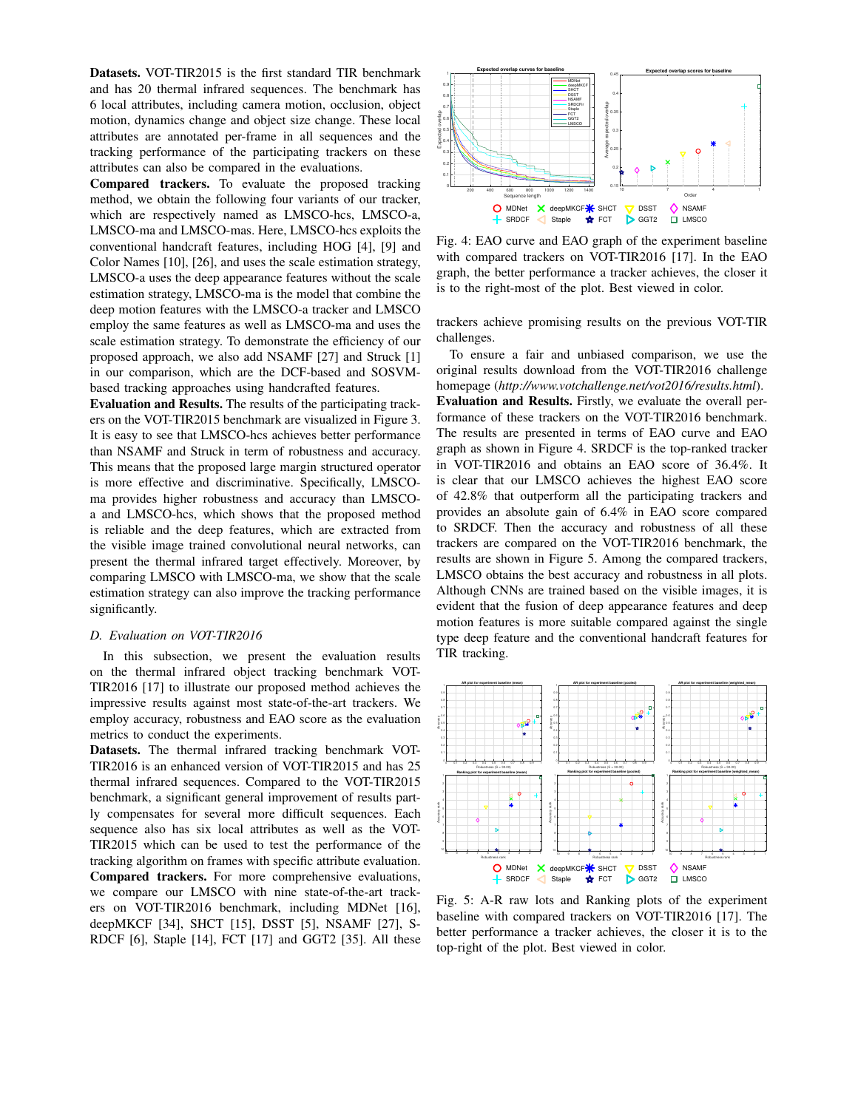Datasets. VOT-TIR2015 is the first standard TIR benchmark and has 20 thermal infrared sequences. The benchmark has 6 local attributes, including camera motion, occlusion, object motion, dynamics change and object size change. These local attributes are annotated per-frame in all sequences and the tracking performance of the participating trackers on these attributes can also be compared in the evaluations.

Compared trackers. To evaluate the proposed tracking method, we obtain the following four variants of our tracker, which are respectively named as LMSCO-hcs, LMSCO-a, LMSCO-ma and LMSCO-mas. Here, LMSCO-hcs exploits the conventional handcraft features, including HOG [4], [9] and Color Names [10], [26], and uses the scale estimation strategy, LMSCO-a uses the deep appearance features without the scale estimation strategy, LMSCO-ma is the model that combine the deep motion features with the LMSCO-a tracker and LMSCO employ the same features as well as LMSCO-ma and uses the scale estimation strategy. To demonstrate the efficiency of our proposed approach, we also add NSAMF [27] and Struck [1] in our comparison, which are the DCF-based and SOSVMbased tracking approaches using handcrafted features.

Evaluation and Results. The results of the participating trackers on the VOT-TIR2015 benchmark are visualized in Figure 3. It is easy to see that LMSCO-hcs achieves better performance than NSAMF and Struck in term of robustness and accuracy. This means that the proposed large margin structured operator is more effective and discriminative. Specifically, LMSCOma provides higher robustness and accuracy than LMSCOa and LMSCO-hcs, which shows that the proposed method is reliable and the deep features, which are extracted from the visible image trained convolutional neural networks, can present the thermal infrared target effectively. Moreover, by comparing LMSCO with LMSCO-ma, we show that the scale estimation strategy can also improve the tracking performance significantly.

#### *D. Evaluation on VOT-TIR2016*

In this subsection, we present the evaluation results on the thermal infrared object tracking benchmark VOT-TIR2016 [17] to illustrate our proposed method achieves the impressive results against most state-of-the-art trackers. We employ accuracy, robustness and EAO score as the evaluation metrics to conduct the experiments.

Datasets. The thermal infrared tracking benchmark VOT-TIR2016 is an enhanced version of VOT-TIR2015 and has 25 thermal infrared sequences. Compared to the VOT-TIR2015 benchmark, a significant general improvement of results partly compensates for several more difficult sequences. Each sequence also has six local attributes as well as the VOT-TIR2015 which can be used to test the performance of the tracking algorithm on frames with specific attribute evaluation. Compared trackers. For more comprehensive evaluations, we compare our LMSCO with nine state-of-the-art trackers on VOT-TIR2016 benchmark, including MDNet [16], deepMKCF [34], SHCT [15], DSST [5], NSAMF [27], S-RDCF [6], Staple [14], FCT [17] and GGT2 [35]. All these



Fig. 4: EAO curve and EAO graph of the experiment baseline with compared trackers on VOT-TIR2016 [17]. In the EAO graph, the better performance a tracker achieves, the closer it is to the right-most of the plot. Best viewed in color.

trackers achieve promising results on the previous VOT-TIR challenges.

To ensure a fair and unbiased comparison, we use the original results download from the VOT-TIR2016 challenge homepage (*http://www.votchallenge.net/vot2016/results.html*). Evaluation and Results. Firstly, we evaluate the overall performance of these trackers on the VOT-TIR2016 benchmark. The results are presented in terms of EAO curve and EAO graph as shown in Figure 4. SRDCF is the top-ranked tracker in VOT-TIR2016 and obtains an EAO score of 36.4%. It is clear that our LMSCO achieves the highest EAO score of 42.8% that outperform all the participating trackers and provides an absolute gain of 6.4% in EAO score compared to SRDCF. Then the accuracy and robustness of all these trackers are compared on the VOT-TIR2016 benchmark, the results are shown in Figure 5. Among the compared trackers, LMSCO obtains the best accuracy and robustness in all plots. Although CNNs are trained based on the visible images, it is evident that the fusion of deep appearance features and deep motion features is more suitable compared against the single type deep feature and the conventional handcraft features for TIR tracking.



Fig. 5: A-R raw lots and Ranking plots of the experiment baseline with compared trackers on VOT-TIR2016 [17]. The better performance a tracker achieves, the closer it is to the top-right of the plot. Best viewed in color.